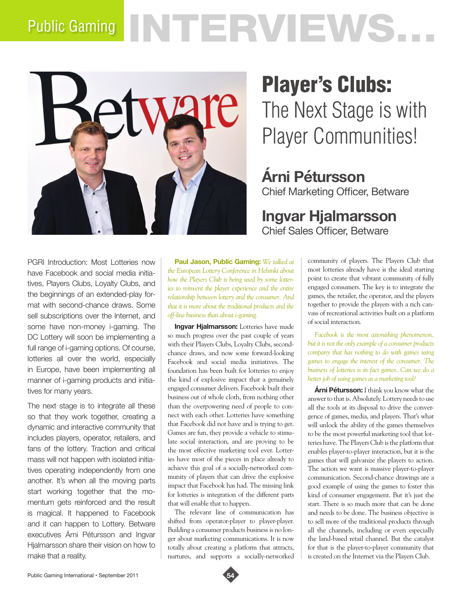# Public Gaming NTTERVIEWS



## Player's Clubs:

The Next Stage is with Player Communities!

## **Árni Pétursson**

Chief Marketing Officer, Betware

### **Ingvar Hjalmarsson** Chief Sales Officer, Betware

PGRI Introduction: Most Lotteries now have Facebook and social media initiatives, Players Clubs, Loyalty Clubs, and the beginnings of an extended-play format with second-chance draws. Some sell subscriptions over the Internet, and some have non-money i-gaming. The DC Lottery will soon be implementing a full range of i-gaming options. Of course, lotteries all over the world, especially in Europe, have been implementing all manner of i-gaming products and initiatives for many years.

The next stage is to integrate all these so that they work together, creating a dynamic and interactive community that includes players, operator, retailers, and fans of the lottery. Traction and critical mass will not happen with isolated initiatives operating independently from one another. It's when all the moving parts start working together that the momentum gets reinforced and the result is magical. It happened to Facebook and it can happen to Lottery. Betware executives Árni Pétursson and Ingvar Hjalmarsson share their vision on how to make that a reality.

**Paul Jason, Public Gaming:** *We talked at the European Lottery Conference in Helsinki about how the Players Club is being used by some lotteries to reinvent the player experience and the entire relationship between lottery and the consumer. And that it is more about the traditional products and the off-line business than about i-gaming.* 

**Ingvar Hjalmarsson:** Lotteries have made so much progress over the past couple of years with their Players Clubs, Loyalty Clubs, secondchance draws, and now some forward-looking Facebook and social media initiatives. The foundation has been built for lotteries to enjoy the kind of explosive impact that a genuinely engaged consumer delivers. Facebook built their business out of whole cloth, from nothing other than the overpowering need of people to connect with each other. Lotteries have something that Facebook did not have and is trying to get. Games are fun, they provide a vehicle to stimulate social interaction, and are proving to be the most effective marketing tool ever. Lotteries have most of the pieces in place already to achieve this goal of a socially-networked community of players that can drive the explosive impact that Facebook has had. The missing link for lotteries is integration of the different parts that will enable that to happen.

The relevant line of communication has shifted from operator-player to player-player. Building a consumer products business is no longer about marketing communications. It is now totally about creating a platform that attracts, nurtures, and supports a socially-networked

community of players. The Players Club that most lotteries already have is the ideal starting point to create that vibrant community of fully engaged consumers. The key is to integrate the games, the retailer, the operator, and the players together to provide the players with a rich canvass of recreational activities built on a platform of social interaction.

*Facebook is the most astonishing phenomenon, but it is not the only example of a consumer products company that has nothing to do with games using games to engage the interest of the consumer. The business of lotteries is in fact games. Can we do a better job of using games as a marketing tool?* 

**Árni Pétursson:** I think you know what the answer to that is. Absolutely. Lottery needs to use all the tools at its disposal to drive the convergence of games, media, and players. That's what will unlock the ability of the games themselves to be the most powerful marketing tool that lotteries have. The Players Club is the platform that enables player-to-player interaction, but it is the games that will galvanize the players to action. The action we want is massive player-to-player communication. Second-chance drawings are a good example of using the games to foster this kind of consumer engagement. But it's just the start. There is so much more that can be done and needs to be done. The business objective is to sell more of the traditional products through all the channels, including or even especially the land-based retail channel. But the catalyst for that is the player-to-player community that is created on the Internet via the Players Club.